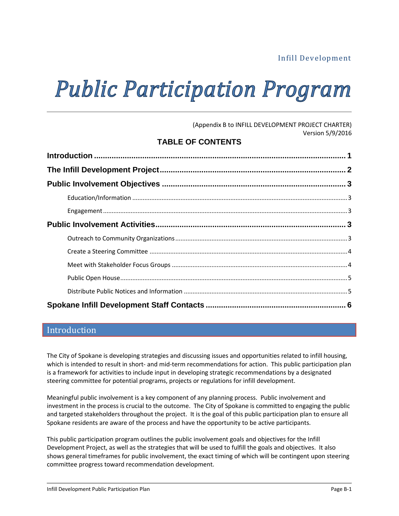# Infill Development

# **Public Participation Program**

(Appendix B to INFILL DEVELOPMENT PROJECT CHARTER) Version 5/9/2016

## **TABLE OF CONTENTS**

## Introduction

The City of Spokane is developing strategies and discussing issues and opportunities related to infill housing, which is intended to result in short- and mid-term recommendations for action. This public participation plan is a framework for activities to include input in developing strategic recommendations by a designated steering committee for potential programs, projects or regulations for infill development.

Meaningful public involvement is a key component of any planning process. Public involvement and investment in the process is crucial to the outcome. The City of Spokane is committed to engaging the public and targeted stakeholders throughout the project. It is the goal of this public participation plan to ensure all Spokane residents are aware of the process and have the opportunity to be active participants.

This public participation program outlines the public involvement goals and objectives for the Infill Development Project, as well as the strategies that will be used to fulfill the goals and objectives. It also shows general timeframes for public involvement, the exact timing of which will be contingent upon steering committee progress toward recommendation development.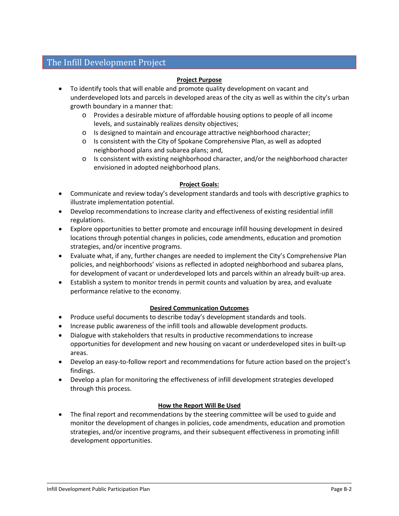# The Infill Development Project

#### **Project Purpose**

- To identify tools that will enable and promote quality development on vacant and underdeveloped lots and parcels in developed areas of the city as well as within the city's urban growth boundary in a manner that:
	- o Provides a desirable mixture of affordable housing options to people of all income levels, and sustainably realizes density objectives;
	- o Is designed to maintain and encourage attractive neighborhood character;
	- o Is consistent with the City of Spokane Comprehensive Plan, as well as adopted neighborhood plans and subarea plans; and,
	- $\circ$  Is consistent with existing neighborhood character, and/or the neighborhood character envisioned in adopted neighborhood plans.

#### **Project Goals:**

- Communicate and review today's development standards and tools with descriptive graphics to illustrate implementation potential.
- Develop recommendations to increase clarity and effectiveness of existing residential infill regulations.
- Explore opportunities to better promote and encourage infill housing development in desired locations through potential changes in policies, code amendments, education and promotion strategies, and/or incentive programs.
- Evaluate what, if any, further changes are needed to implement the City's Comprehensive Plan policies, and neighborhoods' visions as reflected in adopted neighborhood and subarea plans, for development of vacant or underdeveloped lots and parcels within an already built-up area.
- Establish a system to monitor trends in permit counts and valuation by area, and evaluate performance relative to the economy.

#### **Desired Communication Outcomes**

- Produce useful documents to describe today's development standards and tools.
- Increase public awareness of the infill tools and allowable development products.
- Dialogue with stakeholders that results in productive recommendations to increase opportunities for development and new housing on vacant or underdeveloped sites in built-up areas.
- Develop an easy-to-follow report and recommendations for future action based on the project's findings.
- Develop a plan for monitoring the effectiveness of infill development strategies developed through this process.

#### **How the Report Will Be Used**

• The final report and recommendations by the steering committee will be used to guide and monitor the development of changes in policies, code amendments, education and promotion strategies, and/or incentive programs, and their subsequent effectiveness in promoting infill development opportunities.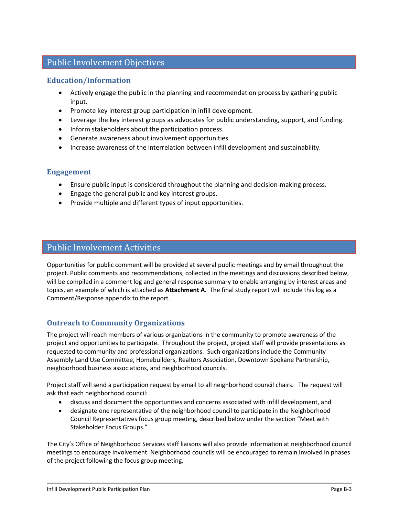# Public Involvement Objectives

## **Education/Information**

- Actively engage the public in the planning and recommendation process by gathering public input.
- Promote key interest group participation in infill development.
- Leverage the key interest groups as advocates for public understanding, support, and funding.
- Inform stakeholders about the participation process.
- Generate awareness about involvement opportunities.
- Increase awareness of the interrelation between infill development and sustainability.

#### **Engagement**

- Ensure public input is considered throughout the planning and decision-making process.
- Engage the general public and key interest groups.
- Provide multiple and different types of input opportunities.

# Public Involvement Activities

Opportunities for public comment will be provided at several public meetings and by email throughout the project. Public comments and recommendations, collected in the meetings and discussions described below, will be compiled in a comment log and general response summary to enable arranging by interest areas and topics, an example of which is attached as **Attachment A**. The final study report will include this log as a Comment/Response appendix to the report.

## **Outreach to Community Organizations**

The project will reach members of various organizations in the community to promote awareness of the project and opportunities to participate. Throughout the project, project staff will provide presentations as requested to community and professional organizations. Such organizations include the Community Assembly Land Use Committee, Homebuilders, Realtors Association, Downtown Spokane Partnership, neighborhood business associations, and neighborhood councils.

Project staff will send a participation request by email to all neighborhood council chairs. The request will ask that each neighborhood council:

- discuss and document the opportunities and concerns associated with infill development, and
- designate one representative of the neighborhood council to participate in the Neighborhood Council Representatives focus group meeting, described below under the section "Meet with Stakeholder Focus Groups."

The City's Office of Neighborhood Services staff liaisons will also provide information at neighborhood council meetings to encourage involvement. Neighborhood councils will be encouraged to remain involved in phases of the project following the focus group meeting.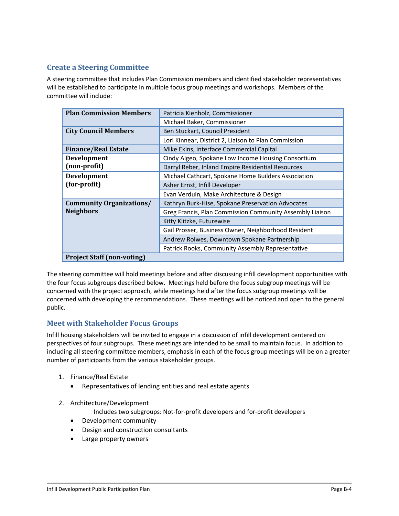## **Create a Steering Committee**

A steering committee that includes Plan Commission members and identified stakeholder representatives will be established to participate in multiple focus group meetings and workshops. Members of the committee will include:

| <b>Plan Commission Members</b>    | Patricia Kienholz, Commissioner                          |
|-----------------------------------|----------------------------------------------------------|
|                                   | Michael Baker, Commissioner                              |
| <b>City Council Members</b>       | Ben Stuckart, Council President                          |
|                                   | Lori Kinnear, District 2, Liaison to Plan Commission     |
| <b>Finance/Real Estate</b>        | Mike Ekins, Interface Commercial Capital                 |
| <b>Development</b>                | Cindy Algeo, Spokane Low Income Housing Consortium       |
| (non-profit)                      | Darryl Reber, Inland Empire Residential Resources        |
| <b>Development</b>                | Michael Cathcart, Spokane Home Builders Association      |
| (for-profit)                      | Asher Ernst, Infill Developer                            |
|                                   | Evan Verduin, Make Architecture & Design                 |
| <b>Community Organizations/</b>   | Kathryn Burk-Hise, Spokane Preservation Advocates        |
| <b>Neighbors</b>                  | Greg Francis, Plan Commission Community Assembly Liaison |
|                                   | Kitty Klitzke, Futurewise                                |
|                                   | Gail Prosser, Business Owner, Neighborhood Resident      |
|                                   | Andrew Rolwes, Downtown Spokane Partnership              |
|                                   | Patrick Rooks, Community Assembly Representative         |
| <b>Project Staff (non-voting)</b> |                                                          |

The steering committee will hold meetings before and after discussing infill development opportunities with the four focus subgroups described below. Meetings held before the focus subgroup meetings will be concerned with the project approach, while meetings held after the focus subgroup meetings will be concerned with developing the recommendations. These meetings will be noticed and open to the general public.

## **Meet with Stakeholder Focus Groups**

Infill housing stakeholders will be invited to engage in a discussion of infill development centered on perspectives of four subgroups. These meetings are intended to be small to maintain focus. In addition to including all steering committee members, emphasis in each of the focus group meetings will be on a greater number of participants from the various stakeholder groups.

- 1. Finance/Real Estate
	- Representatives of lending entities and real estate agents
- 2. Architecture/Development
	- Includes two subgroups: Not-for-profit developers and for-profit developers
	- Development community
	- Design and construction consultants
	- Large property owners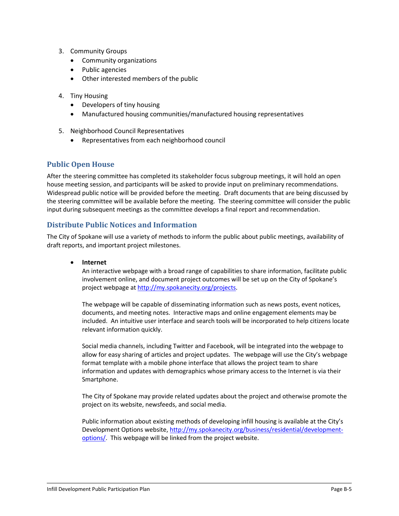- 3. Community Groups
	- Community organizations
	- Public agencies
	- Other interested members of the public
- 4. Tiny Housing
	- Developers of tiny housing
	- Manufactured housing communities/manufactured housing representatives
- 5. Neighborhood Council Representatives
	- Representatives from each neighborhood council

## **Public Open House**

After the steering committee has completed its stakeholder focus subgroup meetings, it will hold an open house meeting session, and participants will be asked to provide input on preliminary recommendations. Widespread public notice will be provided before the meeting. Draft documents that are being discussed by the steering committee will be available before the meeting. The steering committee will consider the public input during subsequent meetings as the committee develops a final report and recommendation.

#### **Distribute Public Notices and Information**

The City of Spokane will use a variety of methods to inform the public about public meetings, availability of draft reports, and important project milestones.

#### • **Internet**

An interactive webpage with a broad range of capabilities to share information, facilitate public involvement online, and document project outcomes will be set up on the City of Spokane's project webpage at [http://my.spokanecity.org/projects.](http://my.spokanecity.org/projects)

The webpage will be capable of disseminating information such as news posts, event notices, documents, and meeting notes. Interactive maps and online engagement elements may be included. An intuitive user interface and search tools will be incorporated to help citizens locate relevant information quickly.

Social media channels, including Twitter and Facebook, will be integrated into the webpage to allow for easy sharing of articles and project updates. The webpage will use the City's webpage format template with a mobile phone interface that allows the project team to share information and updates with demographics whose primary access to the Internet is via their Smartphone.

The City of Spokane may provide related updates about the project and otherwise promote the project on its website, newsfeeds, and social media.

Public information about existing methods of developing infill housing is available at the City's Development Options website[, http://my.spokanecity.org/business/residential/development](http://my.spokanecity.org/business/residential/development-options/)[options/.](http://my.spokanecity.org/business/residential/development-options/) This webpage will be linked from the project website.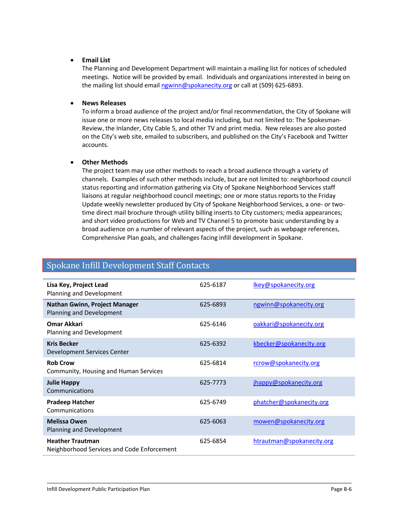#### • **Email List**

The Planning and Development Department will maintain a mailing list for notices of scheduled meetings. Notice will be provided by email. Individuals and organizations interested in being on the mailing list should emai[l ngwinn@spokanecity.org](mailto:ngwinn@spokanecity.org) or call at (509) 625-6893.

#### • **News Releases**

To inform a broad audience of the project and/or final recommendation, the City of Spokane will issue one or more news releases to local media including, but not limited to: The Spokesman-Review, the Inlander, City Cable 5, and other TV and print media. New releases are also posted on the City's web site, emailed to subscribers, and published on the City's Facebook and Twitter accounts.

#### • **Other Methods**

The project team may use other methods to reach a broad audience through a variety of channels. Examples of such other methods include, but are not limited to: neighborhood council status reporting and information gathering via City of Spokane Neighborhood Services staff liaisons at regular neighborhood council meetings; one or more status reports to the Friday Update weekly newsletter produced by City of Spokane Neighborhood Services, a one- or twotime direct mail brochure through utility billing inserts to City customers; media appearances; and short video productions for Web and TV Channel 5 to promote basic understanding by a broad audience on a number of relevant aspects of the project, such as webpage references, Comprehensive Plan goals, and challenges facing infill development in Spokane.

# Spokane Infill Development Staff Contacts

| Lisa Key, Project Lead<br>Planning and Development                    | 625-6187 | Ikey@spokanecity.org      |
|-----------------------------------------------------------------------|----------|---------------------------|
| <b>Nathan Gwinn, Project Manager</b><br>Planning and Development      | 625-6893 | ngwinn@spokanecity.org    |
| Omar Akkari<br>Planning and Development                               | 625-6146 | oakkari@spokanecity.org   |
| <b>Kris Becker</b><br>Development Services Center                     | 625-6392 | kbecker@spokanecity.org   |
| <b>Rob Crow</b><br>Community, Housing and Human Services              | 625-6814 | rcrow@spokanecity.org     |
| <b>Julie Happy</b><br>Communications                                  | 625-7773 | jhappy@spokanecity.org    |
| <b>Pradeep Hatcher</b><br>Communications                              | 625-6749 | phatcher@spokanecity.org  |
| <b>Melissa Owen</b><br>Planning and Development                       | 625-6063 | mowen@spokanecity.org     |
| <b>Heather Trautman</b><br>Neighborhood Services and Code Enforcement | 625-6854 | htrautman@spokanecity.org |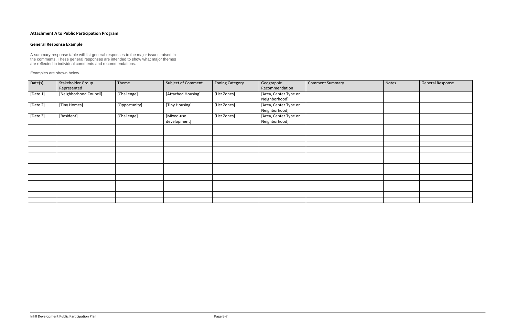## **Attachment A to Public Participation Program**

## **General Response Example**

A summary response table will list general responses to the major issues raised in the comments. These general responses are intended to show what major themes are reflected in individual comments and recommendations.

Examples are shown below.

| Date(s)  | Stakeholder Group<br>Represented | Theme         | Subject of Comment         | <b>Zoning Category</b> | Geographic<br>Recommendation           | <b>Comment Summary</b> | Notes | General Response |
|----------|----------------------------------|---------------|----------------------------|------------------------|----------------------------------------|------------------------|-------|------------------|
| [Date 1] | [Neighborhood Council]           | [Challenge]   | [Attached Housing]         | [List Zones]           | [Area, Center Type or<br>Neighborhood] |                        |       |                  |
| [Date 2] | [Tiny Homes]                     | [Opportunity] | [Tiny Housing]             | [List Zones]           | [Area, Center Type or<br>Neighborhood] |                        |       |                  |
| [Date 3] | [Resident]                       | [Challenge]   | [Mixed-use<br>development] | [List Zones]           | [Area, Center Type or<br>Neighborhood] |                        |       |                  |
|          |                                  |               |                            |                        |                                        |                        |       |                  |
|          |                                  |               |                            |                        |                                        |                        |       |                  |
|          |                                  |               |                            |                        |                                        |                        |       |                  |
|          |                                  |               |                            |                        |                                        |                        |       |                  |
|          |                                  |               |                            |                        |                                        |                        |       |                  |
|          |                                  |               |                            |                        |                                        |                        |       |                  |
|          |                                  |               |                            |                        |                                        |                        |       |                  |
|          |                                  |               |                            |                        |                                        |                        |       |                  |
|          |                                  |               |                            |                        |                                        |                        |       |                  |
|          |                                  |               |                            |                        |                                        |                        |       |                  |
|          |                                  |               |                            |                        |                                        |                        |       |                  |
|          |                                  |               |                            |                        |                                        |                        |       |                  |
|          |                                  |               |                            |                        |                                        |                        |       |                  |
|          |                                  |               |                            |                        |                                        |                        |       |                  |